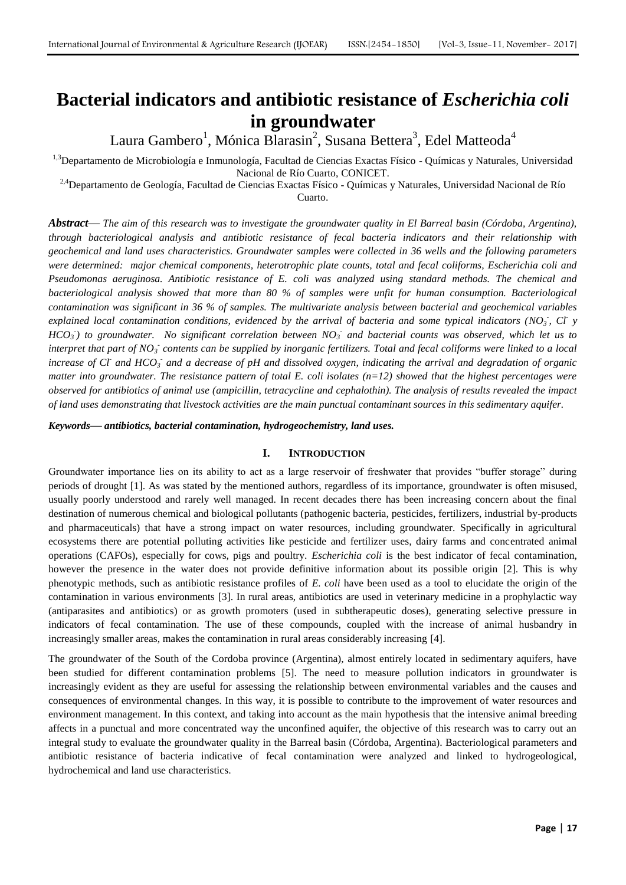# **Bacterial indicators and antibiotic resistance of** *Escherichia coli* **in groundwater**

Laura Gambero<sup>1</sup>, Mónica Blarasin<sup>2</sup>, Susana Bettera<sup>3</sup>, Edel Matteoda<sup>4</sup>

<sup>1,3</sup>Departamento de Microbiología e Inmunología, Facultad de Ciencias Exactas Físico - Químicas y Naturales, Universidad Nacional de Río Cuarto, CONICET.

<sup>2,4</sup>Departamento de Geología, Facultad de Ciencias Exactas Físico - Químicas y Naturales, Universidad Nacional de Río

Cuarto.

*Abstract***—** *The aim of this research was to investigate the groundwater quality in El Barreal basin (Córdoba, Argentina), through bacteriological analysis and antibiotic resistance of fecal bacteria indicators and their relationship with geochemical and land uses characteristics. Groundwater samples were collected in 36 wells and the following parameters were determined: major chemical components, heterotrophic plate counts, total and fecal coliforms, Escherichia coli and Pseudomonas aeruginosa. Antibiotic resistance of E. coli was analyzed using standard methods. The chemical and bacteriological analysis showed that more than 80 % of samples were unfit for human consumption. Bacteriological contamination was significant in 36 % of samples. The multivariate analysis between bacterial and geochemical variables explained local contamination conditions, evidenced by the arrival of bacteria and some typical indicators (NO<sub>3</sub>, Cl y HCO<sup>3</sup> - ) to groundwater. No significant correlation between NO<sup>3</sup> - and bacterial counts was observed, which let us to interpret that part of NO<sub>3</sub><sup>-</sup> contents can be supplied by inorganic fertilizers. Total and fecal coliforms were linked to a local increase of CI* and HCO<sub>3</sub> and a decrease of pH and dissolved oxygen, indicating the arrival and degradation of organic *matter into groundwater. The resistance pattern of total E. coli isolates (n=12) showed that the highest percentages were observed for antibiotics of animal use (ampicillin, tetracycline and cephalothin). The analysis of results revealed the impact of land uses demonstrating that livestock activities are the main punctual contaminant sources in this sedimentary aquifer.*

*Keywords***—** *antibiotics, bacterial contamination, hydrogeochemistry, land uses.*

# **I. INTRODUCTION**

Groundwater importance lies on its ability to act as a large reservoir of freshwater that provides "buffer storage" during periods of drought [1]. As was stated by the mentioned authors, regardless of its importance, groundwater is often misused, usually poorly understood and rarely well managed. In recent decades there has been increasing concern about the final destination of numerous chemical and biological pollutants (pathogenic bacteria, pesticides, fertilizers, industrial by-products and pharmaceuticals) that have a strong impact on water resources, including groundwater. Specifically in agricultural ecosystems there are potential polluting activities like pesticide and fertilizer uses, dairy farms and concentrated animal operations (CAFOs), especially for cows, pigs and poultry. *Escherichia coli* is the best indicator of fecal contamination, however the presence in the water does not provide definitive information about its possible origin [2]. This is why phenotypic methods, such as antibiotic resistance profiles of *E. coli* have been used as a tool to elucidate the origin of the contamination in various environments [3]. In rural areas, antibiotics are used in veterinary medicine in a prophylactic way (antiparasites and antibiotics) or as growth promoters (used in subtherapeutic doses), generating selective pressure in indicators of fecal contamination. The use of these compounds, coupled with the increase of animal husbandry in increasingly smaller areas, makes the contamination in rural areas considerably increasing [4].

The groundwater of the South of the Cordoba province (Argentina), almost entirely located in sedimentary aquifers, have been studied for different contamination problems [5]. The need to measure pollution indicators in groundwater is increasingly evident as they are useful for assessing the relationship between environmental variables and the causes and consequences of environmental changes. In this way, it is possible to contribute to the improvement of water resources and environment management. In this context, and taking into account as the main hypothesis that the intensive animal breeding affects in a punctual and more concentrated way the unconfined aquifer, the objective of this research was to carry out an integral study to evaluate the groundwater quality in the Barreal basin (Córdoba, Argentina). Bacteriological parameters and antibiotic resistance of bacteria indicative of fecal contamination were analyzed and linked to hydrogeological, hydrochemical and land use characteristics.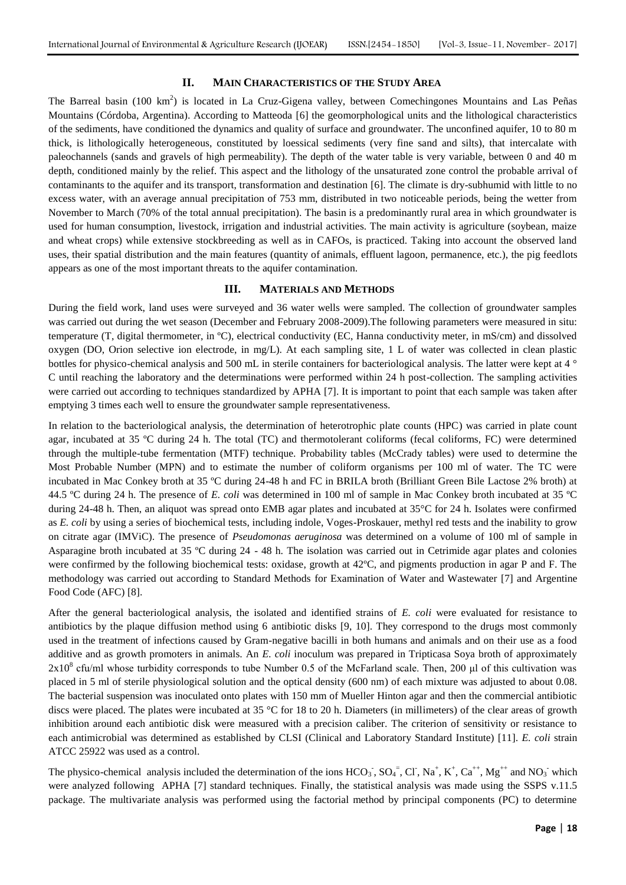### **II. MAIN CHARACTERISTICS OF THE STUDY AREA**

The Barreal basin (100 km<sup>2</sup>) is located in La Cruz-Gigena valley, between Comechingones Mountains and Las Peñas Mountains (Córdoba, Argentina). According to Matteoda [6] the geomorphological units and the lithological characteristics of the sediments, have conditioned the dynamics and quality of surface and groundwater. The unconfined aquifer, 10 to 80 m thick, is lithologically heterogeneous, constituted by loessical sediments (very fine sand and silts), that intercalate with paleochannels (sands and gravels of high permeability). The depth of the water table is very variable, between 0 and 40 m depth, conditioned mainly by the relief. This aspect and the lithology of the unsaturated zone control the probable arrival of contaminants to the aquifer and its transport, transformation and destination [6]. The climate is dry-subhumid with little to no excess water, with an average annual precipitation of 753 mm, distributed in two noticeable periods, being the wetter from November to March (70% of the total annual precipitation). The basin is a predominantly rural area in which groundwater is used for human consumption, livestock, irrigation and industrial activities. The main activity is agriculture (soybean, maize and wheat crops) while extensive stockbreeding as well as in CAFOs, is practiced. Taking into account the observed land uses, their spatial distribution and the main features (quantity of animals, effluent lagoon, permanence, etc.), the pig feedlots appears as one of the most important threats to the aquifer contamination.

#### **III. MATERIALS AND METHODS**

During the field work, land uses were surveyed and 36 water wells were sampled. The collection of groundwater samples was carried out during the wet season (December and February 2008-2009). The following parameters were measured in situ: temperature (T, digital thermometer, in ºC), electrical conductivity (EC, Hanna conductivity meter, in mS/cm) and dissolved oxygen (DO, Orion selective ion electrode, in mg/L). At each sampling site, 1 L of water was collected in clean plastic bottles for physico-chemical analysis and 500 mL in sterile containers for bacteriological analysis. The latter were kept at 4 ° C until reaching the laboratory and the determinations were performed within 24 h post-collection. The sampling activities were carried out according to techniques standardized by APHA [7]. It is important to point that each sample was taken after emptying 3 times each well to ensure the groundwater sample representativeness.

In relation to the bacteriological analysis, the determination of heterotrophic plate counts (HPC) was carried in plate count agar, incubated at 35 ºC during 24 h. The total (TC) and thermotolerant coliforms (fecal coliforms, FC) were determined through the multiple-tube fermentation (MTF) technique. Probability tables (McCrady tables) were used to determine the Most Probable Number (MPN) and to estimate the number of coliform organisms per 100 ml of water. The TC were incubated in Mac Conkey broth at 35 ºC during 24-48 h and FC in BRILA broth (Brilliant Green Bile Lactose 2% broth) at 44.5 ºC during 24 h. The presence of *E. coli* was determined in 100 ml of sample in Mac Conkey broth incubated at 35 ºC during 24-48 h. Then, an aliquot was spread onto EMB agar plates and incubated at 35°C for 24 h. Isolates were confirmed as *E. coli* by using a series of biochemical tests, including indole, Voges-Proskauer, methyl red tests and the inability to grow on citrate agar (IMViC). The presence of *Pseudomonas aeruginosa* was determined on a volume of 100 ml of sample in Asparagine broth incubated at 35 ºC during 24 - 48 h. The isolation was carried out in Cetrimide agar plates and colonies were confirmed by the following biochemical tests: oxidase, growth at 42ºC, and pigments production in agar P and F. The methodology was carried out according to Standard Methods for Examination of Water and Wastewater [7] and Argentine Food Code (AFC) [8].

After the general bacteriological analysis, the isolated and identified strains of *E. coli* were evaluated for resistance to antibiotics by the plaque diffusion method using 6 antibiotic disks [9, 10]. They correspond to the drugs most commonly used in the treatment of infections caused by Gram-negative bacilli in both humans and animals and on their use as a food additive and as growth promoters in animals. An *E. coli* inoculum was prepared in Tripticasa Soya broth of approximately  $2x10<sup>8</sup>$  cfu/ml whose turbidity corresponds to tube Number 0.5 of the McFarland scale. Then, 200 µl of this cultivation was placed in 5 ml of sterile physiological solution and the optical density (600 nm) of each mixture was adjusted to about 0.08. The bacterial suspension was inoculated onto plates with 150 mm of Mueller Hinton agar and then the commercial antibiotic discs were placed. The plates were incubated at 35 °C for 18 to 20 h. Diameters (in millimeters) of the clear areas of growth inhibition around each antibiotic disk were measured with a precision caliber. The criterion of sensitivity or resistance to each antimicrobial was determined as established by CLSI (Clinical and Laboratory Standard Institute) [11]. *E. coli* strain ATCC 25922 was used as a control.

The physico-chemical analysis included the determination of the ions  $HCO_3$ ,  $SO_4$ ,  $Cl$ ,  $Na^+$ ,  $K^+$ ,  $Ca^{++}$ ,  $Mg^{++}$  and  $NO_3$  which were analyzed following APHA [7] standard techniques. Finally, the statistical analysis was made using the SSPS v.11.5 package. The multivariate analysis was performed using the factorial method by principal components (PC) to determine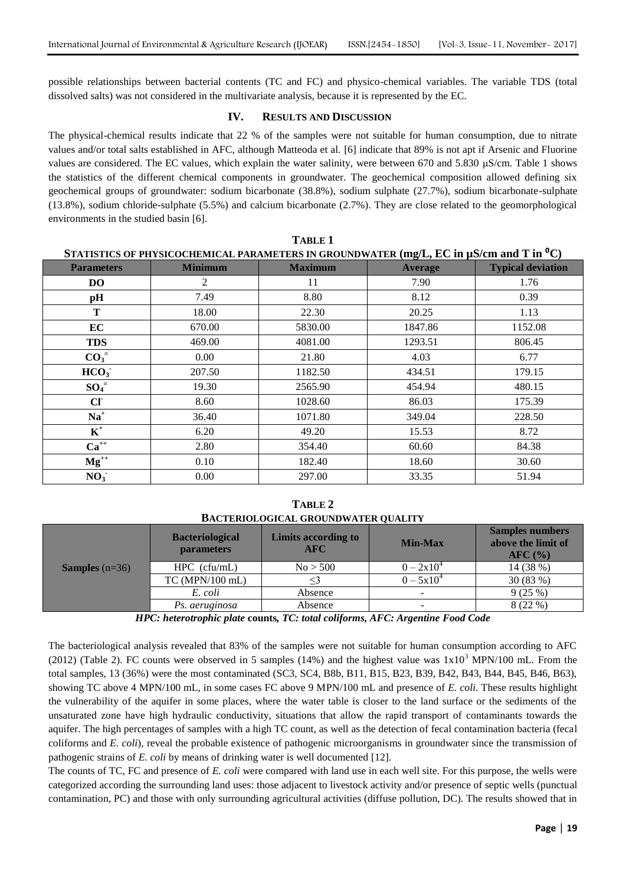possible relationships between bacterial contents (TC and FC) and physico-chemical variables. The variable TDS (total dissolved salts) was not considered in the multivariate analysis, because it is represented by the EC.

## **IV. RESULTS AND DISCUSSION**

The physical-chemical results indicate that 22 % of the samples were not suitable for human consumption, due to nitrate values and/or total salts established in AFC, although Matteoda et al. [6] indicate that 89% is not apt if Arsenic and Fluorine values are considered. The EC values, which explain the water salinity, were between 670 and 5.830 μS/cm. Table 1 shows the statistics of the different chemical components in groundwater. The geochemical composition allowed defining six geochemical groups of groundwater: sodium bicarbonate (38.8%), sodium sulphate (27.7%), sodium bicarbonate-sulphate (13.8%), sodium chloride-sulphate (5.5%) and calcium bicarbonate (2.7%). They are close related to the geomorphological environments in the studied basin [6].

**TABLE 1**

| STATISTICS OF PHYSICOCHEMICAL PARAMETERS IN GROUNDWATER (mg/L, EC in $\mu$ S/cm and T in <sup>o</sup> C) |                |                                  |         |                          |  |  |  |
|----------------------------------------------------------------------------------------------------------|----------------|----------------------------------|---------|--------------------------|--|--|--|
| <b>Parameters</b>                                                                                        | <b>Minimum</b> | <b>Maximum</b><br><b>Average</b> |         | <b>Typical deviation</b> |  |  |  |
| DO.                                                                                                      | 2              | 11                               | 7.90    | 1.76                     |  |  |  |
| pH                                                                                                       | 7.49           | 8.80                             | 8.12    | 0.39                     |  |  |  |
| T                                                                                                        | 18.00          | 22.30                            | 20.25   | 1.13                     |  |  |  |
| EC                                                                                                       | 670.00         | 5830.00                          | 1847.86 | 1152.08                  |  |  |  |
| <b>TDS</b>                                                                                               | 469.00         | 4081.00                          | 1293.51 | 806.45                   |  |  |  |
| $CO3=$                                                                                                   | 0.00           | 21.80                            | 4.03    | 6.77                     |  |  |  |
| HCO <sub>3</sub>                                                                                         | 207.50         | 1182.50                          | 434.51  | 179.15                   |  |  |  |
| $SO_4^-$                                                                                                 | 19.30          | 2565.90                          | 454.94  | 480.15                   |  |  |  |
| CI                                                                                                       | 8.60           | 1028.60                          | 86.03   | 175.39                   |  |  |  |
| $Na+$                                                                                                    | 36.40          | 1071.80                          | 349.04  | 228.50                   |  |  |  |
| $\mathbf{K}^+$                                                                                           | 6.20           | 49.20                            | 15.53   | 8.72                     |  |  |  |
| $Ca^{++}$                                                                                                | 2.80           | 354.40                           | 60.60   | 84.38                    |  |  |  |
| $Mg^{++}$                                                                                                | 0.10           | 182.40                           | 18.60   | 30.60                    |  |  |  |
| NO <sub>3</sub>                                                                                          | 0.00           | 297.00                           | 33.35   | 51.94                    |  |  |  |

**TABLE 2 BACTERIOLOGICAL GROUNDWATER QUALITY**

| <b>Samples</b> $(n=36)$ | <b>Bacteriological</b><br><b>parameters</b> | Limits according to<br>$\bf AFC$ | <b>Min-Max</b> | <b>Samples numbers</b><br>above the limit of<br>$\rm{AFC}$ (%) |  |
|-------------------------|---------------------------------------------|----------------------------------|----------------|----------------------------------------------------------------|--|
|                         | $HPC$ (cfu/mL)                              | No > 500                         | $0 - 2x10^4$   | 14 (38 %)                                                      |  |
|                         | TC (MPN/100 mL)                             |                                  | $0 - 5x10^{4}$ | 30(83%)                                                        |  |
|                         | E. coli                                     | Absence                          | $\sim$         | 9(25%)                                                         |  |
|                         | Ps. aeruginosa                              | Absence                          | $\sim$         | 8(22%)                                                         |  |

*HPC: heterotrophic plate* **counts***, TC: total coliforms, AFC: Argentine Food Code*

The bacteriological analysis revealed that 83% of the samples were not suitable for human consumption according to AFC (2012) (Table 2). FC counts were observed in 5 samples (14%) and the highest value was  $1x10<sup>3</sup>$  MPN/100 mL. From the total samples, 13 (36%) were the most contaminated (SC3, SC4, B8b, B11, B15, B23, B39, B42, B43, B44, B45, B46, B63), showing TC above 4 MPN/100 mL, in some cases FC above 9 MPN/100 mL and presence of *E. coli*. These results highlight the vulnerability of the aquifer in some places, where the water table is closer to the land surface or the sediments of the unsaturated zone have high hydraulic conductivity, situations that allow the rapid transport of contaminants towards the aquifer. The high percentages of samples with a high TC count, as well as the detection of fecal contamination bacteria (fecal coliforms and *E. coli*), reveal the probable existence of pathogenic microorganisms in groundwater since the transmission of pathogenic strains of *E. coli* by means of drinking water is well documented [12].

The counts of TC, FC and presence of *E. coli* were compared with land use in each well site. For this purpose, the wells were categorized according the surrounding land uses: those adjacent to livestock activity and/or presence of septic wells (punctual contamination, PC) and those with only surrounding agricultural activities (diffuse pollution, DC). The results showed that in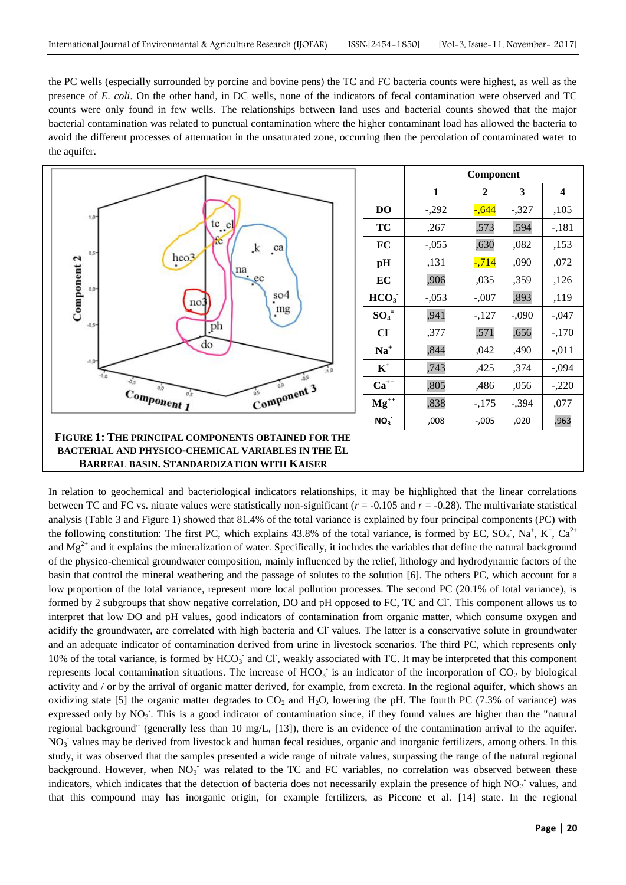the PC wells (especially surrounded by porcine and bovine pens) the TC and FC bacteria counts were highest, as well as the presence of *E. coli*. On the other hand, in DC wells, none of the indicators of fecal contamination were observed and TC counts were only found in few wells. The relationships between land uses and bacterial counts showed that the major bacterial contamination was related to punctual contamination where the higher contaminant load has allowed the bacteria to avoid the different processes of attenuation in the unsaturated zone, occurring then the percolation of contaminated water to the aquifer.



In relation to geochemical and bacteriological indicators relationships, it may be highlighted that the linear correlations between TC and FC vs. nitrate values were statistically non-significant  $(r = -0.105$  and  $r = -0.28)$ . The multivariate statistical analysis (Table 3 and Figure 1) showed that 81.4% of the total variance is explained by four principal components (PC) with the following constitution: The first PC, which explains 43.8% of the total variance, is formed by EC,  $SO_4$ ,  $Na^+$ ,  $K^+$ ,  $Ca^{2+}$ and  $Mg^{2+}$  and it explains the mineralization of water. Specifically, it includes the variables that define the natural background of the physico-chemical groundwater composition, mainly influenced by the relief, lithology and hydrodynamic factors of the basin that control the mineral weathering and the passage of solutes to the solution [6]. The others PC, which account for a low proportion of the total variance, represent more local pollution processes. The second PC (20.1% of total variance), is formed by 2 subgroups that show negative correlation, DO and pH opposed to FC, TC and Cl. This component allows us to interpret that low DO and pH values, good indicators of contamination from organic matter, which consume oxygen and acidify the groundwater, are correlated with high bacteria and Cl values. The latter is a conservative solute in groundwater and an adequate indicator of contamination derived from urine in livestock scenarios. The third PC, which represents only 10% of the total variance, is formed by HCO<sub>3</sub> and Cl, weakly associated with TC. It may be interpreted that this component represents local contamination situations. The increase of  $HCO<sub>3</sub>$  is an indicator of the incorporation of  $CO<sub>2</sub>$  by biological activity and / or by the arrival of organic matter derived, for example, from excreta. In the regional aquifer, which shows an oxidizing state [5] the organic matter degrades to  $CO_2$  and  $H_2O$ , lowering the pH. The fourth PC (7.3% of variance) was expressed only by NO<sub>3</sub>. This is a good indicator of contamination since, if they found values are higher than the "natural regional background" (generally less than 10 mg/L, [13]), there is an evidence of the contamination arrival to the aquifer. NO<sub>3</sub> values may be derived from livestock and human fecal residues, organic and inorganic fertilizers, among others. In this study, it was observed that the samples presented a wide range of nitrate values, surpassing the range of the natural regional background. However, when  $NO<sub>3</sub>$  was related to the TC and FC variables, no correlation was observed between these indicators, which indicates that the detection of bacteria does not necessarily explain the presence of high  $NO<sub>3</sub>$  values, and that this compound may has inorganic origin, for example fertilizers, as Piccone et al. [14] state. In the regional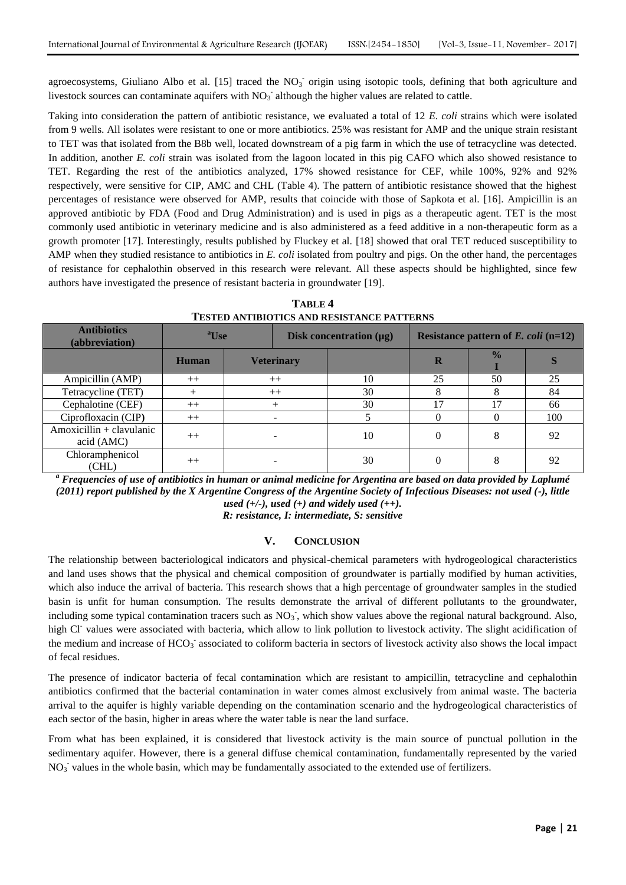agroecosystems, Giuliano Albo et al. [15] traced the  $NO<sub>3</sub>$  origin using isotopic tools, defining that both agriculture and livestock sources can contaminate aquifers with  $NO<sub>3</sub>$  although the higher values are related to cattle.

Taking into consideration the pattern of antibiotic resistance, we evaluated a total of 12 *E. coli* strains which were isolated from 9 wells. All isolates were resistant to one or more antibiotics. 25% was resistant for AMP and the unique strain resistant to TET was that isolated from the B8b well, located downstream of a pig farm in which the use of tetracycline was detected. In addition, another *E. coli* strain was isolated from the lagoon located in this pig CAFO which also showed resistance to TET. Regarding the rest of the antibiotics analyzed, 17% showed resistance for CEF, while 100%, 92% and 92% respectively, were sensitive for CIP, AMC and CHL (Table 4). The pattern of antibiotic resistance showed that the highest percentages of resistance were observed for AMP, results that coincide with those of Sapkota et al. [16]. Ampicillin is an approved antibiotic by FDA (Food and Drug Administration) and is used in pigs as a therapeutic agent. TET is the most commonly used antibiotic in veterinary medicine and is also administered as a feed additive in a non-therapeutic form as a growth promoter [17]. Interestingly, results published by Fluckey et al. [18] showed that oral TET reduced susceptibility to AMP when they studied resistance to antibiotics in *E. coli* isolated from poultry and pigs. On the other hand, the percentages of resistance for cephalothin observed in this research were relevant. All these aspects should be highlighted, since few authors have investigated the presence of resistant bacteria in groundwater [19].

**TABLE 4 TESTED ANTIBIOTICS AND RESISTANCE PATTERNS**

| <b>Antibiotics</b><br>(abbreviation)   | <sup>a</sup> Use |                   | Disk concentration $(\mu g)$ |    | Resistance pattern of $E$ . <i>coli</i> (n=12) |               |     |
|----------------------------------------|------------------|-------------------|------------------------------|----|------------------------------------------------|---------------|-----|
|                                        | Human            | <b>Veterinary</b> |                              |    | R                                              | $\frac{0}{0}$ |     |
| Ampicillin (AMP)                       | $++$             | $++$              |                              | 10 | 25                                             | 50            | 25  |
| Tetracycline (TET)                     |                  | $++$              |                              | 30 |                                                |               | 84  |
| Cephalotine (CEF)                      | $++$             |                   |                              | 30 |                                                |               | 66  |
| Ciprofloxacin (CIP)                    | $++$             |                   |                              |    |                                                |               | 100 |
| Amoxicillin + clavulanic<br>acid (AMC) | $++$             |                   |                              | 10 |                                                |               | 92  |
| Chloramphenicol<br>(CHL)               | $^{++}$          |                   |                              | 30 |                                                | 8             | 92  |

*<sup>a</sup> Frequencies of use of antibiotics in human or animal medicine for Argentina are based on data provided by Laplumé (2011) report published by the X Argentine Congress of the Argentine Society of Infectious Diseases: not used (-), little used (+/-), used (+) and widely used (++).*

*R: resistance, I: intermediate, S: sensitive*

## **V. CONCLUSION**

The relationship between bacteriological indicators and physical-chemical parameters with hydrogeological characteristics and land uses shows that the physical and chemical composition of groundwater is partially modified by human activities, which also induce the arrival of bacteria. This research shows that a high percentage of groundwater samples in the studied basin is unfit for human consumption. The results demonstrate the arrival of different pollutants to the groundwater, including some typical contamination tracers such as  $NO_3$ , which show values above the regional natural background. Also, high Cl<sup>-</sup> values were associated with bacteria, which allow to link pollution to livestock activity. The slight acidification of the medium and increase of HCO<sub>3</sub><sup>-</sup> associated to coliform bacteria in sectors of livestock activity also shows the local impact of fecal residues.

The presence of indicator bacteria of fecal contamination which are resistant to ampicillin, tetracycline and cephalothin antibiotics confirmed that the bacterial contamination in water comes almost exclusively from animal waste. The bacteria arrival to the aquifer is highly variable depending on the contamination scenario and the hydrogeological characteristics of each sector of the basin, higher in areas where the water table is near the land surface.

From what has been explained, it is considered that livestock activity is the main source of punctual pollution in the sedimentary aquifer. However, there is a general diffuse chemical contamination, fundamentally represented by the varied  $NO<sub>3</sub>$  values in the whole basin, which may be fundamentally associated to the extended use of fertilizers.